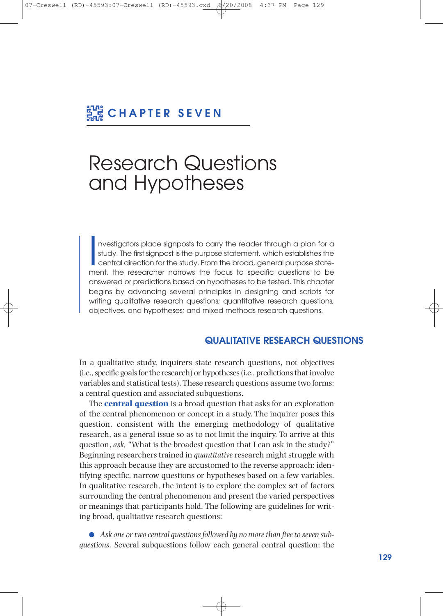07-Creswell (RD)-45593:07-Creswell (RD)-45593.qxd  $A$ 20/2008

## $\frac{202}{246}$  CHAPTER SEVEN

# Research Questions and Hypotheses

Investigators place signposts to carry the reader through a plan for a study. The first signpost is the purpose statement, which establishes the central direction for the study. From the broad, general purpose statement, t nvestigators place signposts to carry the reader through a plan for a study. The first signpost is the purpose statement, which establishes the central direction for the study. From the broad, general purpose stateanswered or predictions based on hypotheses to be tested. This chapter begins by advancing several principles in designing and scripts for writing qualitative research questions; quantitative research questions, objectives, and hypotheses; and mixed methods research questions.

### **QUALITATIVE RESEARCH QUESTIONS**

In a qualitative study, inquirers state research questions, not objectives (i.e., specific goals for the research) or hypotheses (i.e., predictions that involve variables and statistical tests). These research questions assume two forms: a central question and associated subquestions.

The **central question** is a broad question that asks for an exploration of the central phenomenon or concept in a study. The inquirer poses this question, consistent with the emerging methodology of qualitative research, as a general issue so as to not limit the inquiry. To arrive at this question, *ask,* "What is the broadest question that I can ask in the study?" Beginning researchers trained in *quantitative* research might struggle with this approach because they are accustomed to the reverse approach: identifying specific, narrow questions or hypotheses based on a few variables. In qualitative research, the intent is to explore the complex set of factors surrounding the central phenomenon and present the varied perspectives or meanings that participants hold. The following are guidelines for writing broad, qualitative research questions:

● Ask one or two central questions followed by no more than five to seven sub*questions*. Several subquestions follow each general central question; the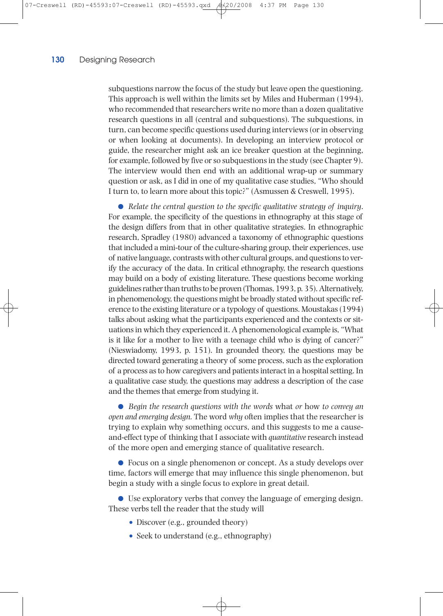subquestions narrow the focus of the study but leave open the questioning. This approach is well within the limits set by Miles and Huberman (1994), who recommended that researchers write no more than a dozen qualitative research questions in all (central and subquestions). The subquestions, in turn, can become specific questions used during interviews (or in observing or when looking at documents). In developing an interview protocol or guide, the researcher might ask an ice breaker question at the beginning, for example, followed by five or so subquestions in the study (see Chapter 9). The interview would then end with an additional wrap-up or summary question or ask, as I did in one of my qualitative case studies, "Who should I turn to, to learn more about this topic?" (Asmussen & Creswell, 1995).

● *Relate the central question to the specific qualitative strategy of inquiry*. For example, the specificity of the questions in ethnography at this stage of the design differs from that in other qualitative strategies. In ethnographic research, Spradley (1980) advanced a taxonomy of ethnographic questions that included a mini-tour of the culture-sharing group, their experiences, use of native language, contrasts with other cultural groups, and questions to verify the accuracy of the data. In critical ethnography, the research questions may build on a body of existing literature. These questions become working guidelines rather than truths to be proven (Thomas, 1993, p. 35). Alternatively, in phenomenology, the questions might be broadly stated without specific reference to the existing literature or a typology of questions. Moustakas (1994) talks about asking what the participants experienced and the contexts or situations in which they experienced it. A phenomenological example is, "What is it like for a mother to live with a teenage child who is dying of cancer?" (Nieswiadomy, 1993, p. 151). In grounded theory, the questions may be directed toward generating a theory of some process, such as the exploration of a process as to how caregivers and patients interact in a hospital setting. In a qualitative case study, the questions may address a description of the case and the themes that emerge from studying it.

● *Begin the research questions with the words* what *or* how *to convey an open and emerging design.* The word *why* often implies that the researcher is trying to explain why something occurs, and this suggests to me a causeand-effect type of thinking that I associate with *quantitative* research instead of the more open and emerging stance of qualitative research.

● Focus on a single phenomenon or concept. As a study develops over time, factors will emerge that may influence this single phenomenon, but begin a study with a single focus to explore in great detail.

● Use exploratory verbs that convey the language of emerging design. These verbs tell the reader that the study will

- Discover (e.g., grounded theory)
- Seek to understand (e.g., ethnography)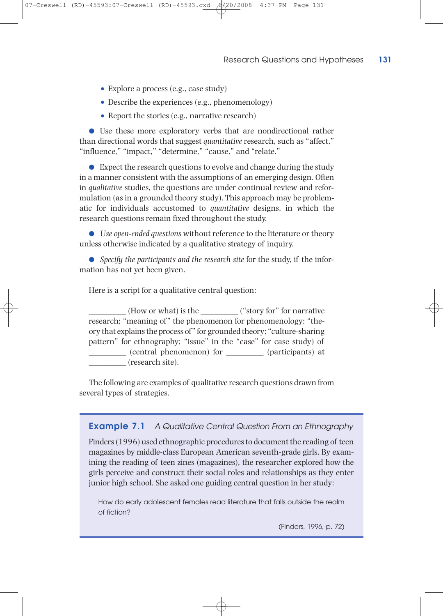- Explore a process (e.g., case study)
- Describe the experiences (e.g., phenomenology)
- Report the stories (e.g., narrative research)

● Use these more exploratory verbs that are nondirectional rather than directional words that suggest *quantitative* research, such as "affect," "influence," "impact," "determine," "cause," and "relate."

● Expect the research questions to evolve and change during the study in a manner consistent with the assumptions of an emerging design. Often in *qualitative* studies, the questions are under continual review and reformulation (as in a grounded theory study). This approach may be problematic for individuals accustomed to *quantitative* designs, in which the research questions remain fixed throughout the study.

● *Use open-ended questions* without reference to the literature or theory unless otherwise indicated by a qualitative strategy of inquiry.

● *Specify the participants and the research site* for the study, if the information has not yet been given.

Here is a script for a qualitative central question:

\_\_\_\_\_\_\_\_\_ (How or what) is the \_\_\_\_\_\_\_\_\_ ("story for" for narrative research; "meaning of" the phenomenon for phenomenology; "theory that explains the process of" for grounded theory; "culture-sharing pattern" for ethnography; "issue" in the "case" for case study) of \_\_\_\_\_\_\_\_\_ (central phenomenon) for \_\_\_\_\_\_\_\_\_ (participants) at \_\_\_\_\_\_\_\_\_ (research site).

The following are examples of qualitative research questions drawn from several types of strategies.

#### **Example 7.1** A Qualitative Central Question From an Ethnography

Finders (1996) used ethnographic procedures to document the reading of teen magazines by middle-class European American seventh-grade girls. By examining the reading of teen zines (magazines), the researcher explored how the girls perceive and construct their social roles and relationships as they enter junior high school. She asked one guiding central question in her study:

How do early adolescent females read literature that falls outside the realm of fiction?

(Finders, 1996, p. 72)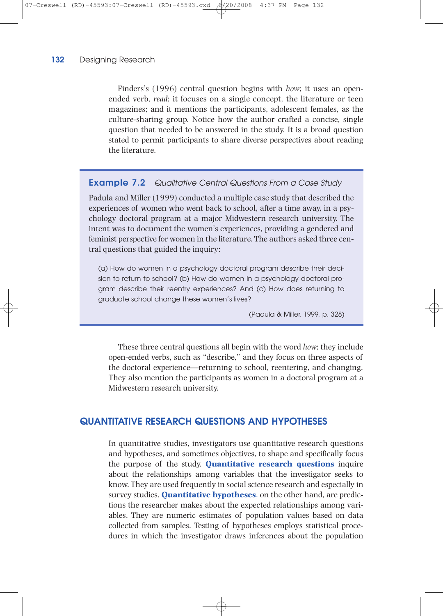Finders's (1996) central question begins with *how*; it uses an openended verb, *read*; it focuses on a single concept, the literature or teen magazines; and it mentions the participants, adolescent females, as the culture-sharing group. Notice how the author crafted a concise, single question that needed to be answered in the study. It is a broad question stated to permit participants to share diverse perspectives about reading the literature.

### **Example 7.2** Qualitative Central Questions From a Case Study

Padula and Miller (1999) conducted a multiple case study that described the experiences of women who went back to school, after a time away, in a psychology doctoral program at a major Midwestern research university. The intent was to document the women's experiences, providing a gendered and feminist perspective for women in the literature. The authors asked three central questions that guided the inquiry:

(a) How do women in a psychology doctoral program describe their decision to return to school? (b) How do women in a psychology doctoral program describe their reentry experiences? And (c) How does returning to graduate school change these women's lives?

(Padula & Miller, 1999, p. 328)

These three central questions all begin with the word *how*; they include open-ended verbs, such as "describe," and they focus on three aspects of the doctoral experience—returning to school, reentering, and changing. They also mention the participants as women in a doctoral program at a Midwestern research university.

### **QUANTITATIVE RESEARCH QUESTIONS AND HYPOTHESES**

In quantitative studies, investigators use quantitative research questions and hypotheses, and sometimes objectives, to shape and specifically focus the purpose of the study. **Quantitative research questions** inquire about the relationships among variables that the investigator seeks to know. They are used frequently in social science research and especially in survey studies. **Quantitative hypotheses**, on the other hand, are predictions the researcher makes about the expected relationships among variables. They are numeric estimates of population values based on data collected from samples. Testing of hypotheses employs statistical procedures in which the investigator draws inferences about the population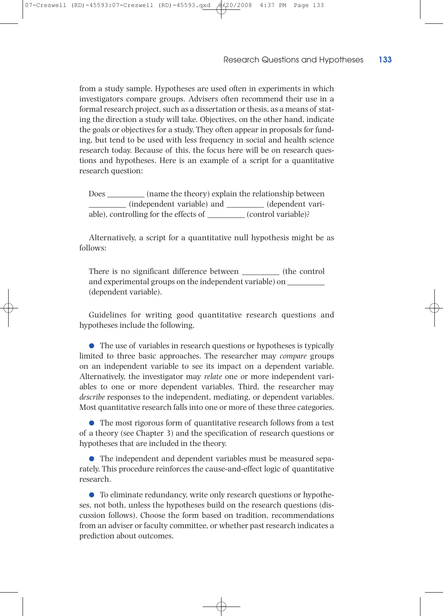#### 07-Creswell (RD)-45593:07-Creswell (RD)-45593.qxd  $A$ 20/2008 4:37 PM

#### Research Questions and Hypotheses **133**

from a study sample. Hypotheses are used often in experiments in which investigators compare groups. Advisers often recommend their use in a formal research project, such as a dissertation or thesis, as a means of stating the direction a study will take. Objectives, on the other hand, indicate the goals or objectives for a study. They often appear in proposals for funding, but tend to be used with less frequency in social and health science research today. Because of this, the focus here will be on research questions and hypotheses. Here is an example of a script for a quantitative research question:

Does \_\_\_\_\_\_\_\_\_ (name the theory) explain the relationship between \_\_\_\_\_\_\_\_\_ (independent variable) and \_\_\_\_\_\_\_\_\_ (dependent variable), controlling for the effects of \_\_\_\_\_\_\_\_\_ (control variable)?

Alternatively, a script for a quantitative null hypothesis might be as follows:

There is no significant difference between \_\_\_\_\_\_\_\_\_ (the control and experimental groups on the independent variable) on \_\_\_\_\_\_\_\_\_\_ (dependent variable).

Guidelines for writing good quantitative research questions and hypotheses include the following.

● The use of variables in research questions or hypotheses is typically limited to three basic approaches. The researcher may *compare* groups on an independent variable to see its impact on a dependent variable. Alternatively, the investigator may *relate* one or more independent variables to one or more dependent variables. Third, the researcher may *describe* responses to the independent, mediating, or dependent variables. Most quantitative research falls into one or more of these three categories.

● The most rigorous form of quantitative research follows from a test of a theory (see Chapter 3) and the specification of research questions or hypotheses that are included in the theory.

● The independent and dependent variables must be measured separately. This procedure reinforces the cause-and-effect logic of quantitative research.

● To eliminate redundancy, write only research questions or hypotheses, not both, unless the hypotheses build on the research questions (discussion follows). Choose the form based on tradition, recommendations from an adviser or faculty committee, or whether past research indicates a prediction about outcomes.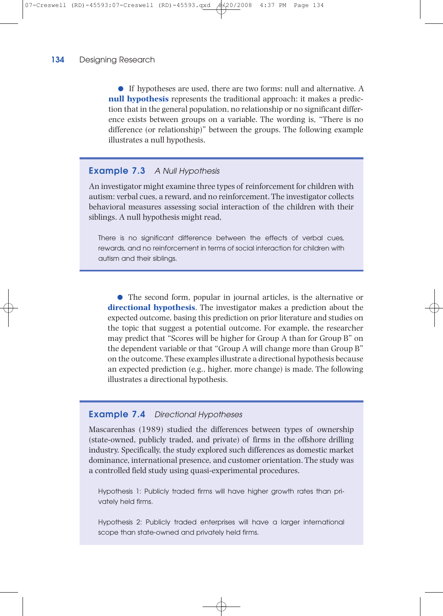● If hypotheses are used, there are two forms: null and alternative. A **null hypothesis** represents the traditional approach: it makes a prediction that in the general population, no relationship or no significant difference exists between groups on a variable. The wording is, "There is no difference (or relationship)" between the groups. The following example illustrates a null hypothesis.

#### **Example 7.3** A Null Hypothesis

An investigator might examine three types of reinforcement for children with autism: verbal cues, a reward, and no reinforcement. The investigator collects behavioral measures assessing social interaction of the children with their siblings. A null hypothesis might read,

There is no significant difference between the effects of verbal cues, rewards, and no reinforcement in terms of social interaction for children with autism and their siblings.

● The second form, popular in journal articles, is the alternative or **directional hypothesis**. The investigator makes a prediction about the expected outcome, basing this prediction on prior literature and studies on the topic that suggest a potential outcome. For example, the researcher may predict that "Scores will be higher for Group A than for Group B" on the dependent variable or that "Group A will change more than Group B" on the outcome. These examples illustrate a directional hypothesis because an expected prediction (e.g., higher, more change) is made. The following illustrates a directional hypothesis.

### **Example 7.4** Directional Hypotheses

Mascarenhas (1989) studied the differences between types of ownership (state-owned, publicly traded, and private) of firms in the offshore drilling industry. Specifically, the study explored such differences as domestic market dominance, international presence, and customer orientation. The study was a controlled field study using quasi-experimental procedures.

Hypothesis 1: Publicly traded firms will have higher growth rates than privately held firms.

Hypothesis 2: Publicly traded enterprises will have a larger international scope than state-owned and privately held firms.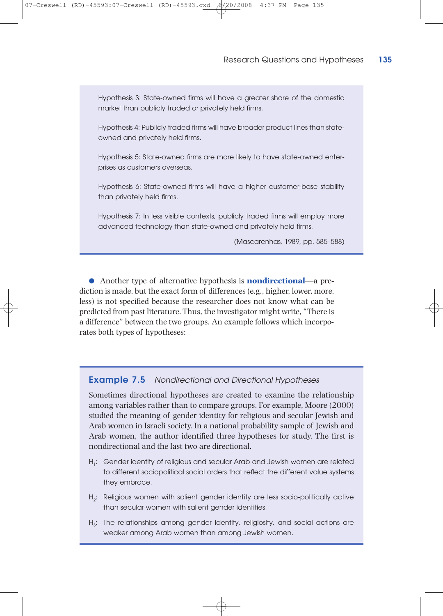Hypothesis 3: State-owned firms will have a greater share of the domestic market than publicly traded or privately held firms.

Hypothesis 4: Publicly traded firms will have broader product lines than stateowned and privately held firms.

Hypothesis 5: State-owned firms are more likely to have state-owned enterprises as customers overseas.

Hypothesis 6: State-owned firms will have a higher customer-base stability than privately held firms.

Hypothesis 7: In less visible contexts, publicly traded firms will employ more advanced technology than state-owned and privately held firms.

(Mascarenhas, 1989, pp. 585–588)

● Another type of alternative hypothesis is **nondirectional**—a prediction is made, but the exact form of differences (e.g., higher, lower, more, less) is not specified because the researcher does not know what can be predicted from past literature. Thus, the investigator might write, "There is a difference" between the two groups. An example follows which incorporates both types of hypotheses:

#### **Example 7.5** Nondirectional and Directional Hypotheses

Sometimes directional hypotheses are created to examine the relationship among variables rather than to compare groups. For example, Moore (2000) studied the meaning of gender identity for religious and secular Jewish and Arab women in Israeli society. In a national probability sample of Jewish and Arab women, the author identified three hypotheses for study. The first is nondirectional and the last two are directional.

- $H<sub>1</sub>$ : Gender identity of religious and secular Arab and Jewish women are related to different sociopolitical social orders that reflect the different value systems they embrace.
- H<sub>2</sub>: Religious women with salient gender identity are less socio-politically active than secular women with salient gender identities.
- H<sub>3</sub>: The relationships among gender identity, religiosity, and social actions are weaker among Arab women than among Jewish women.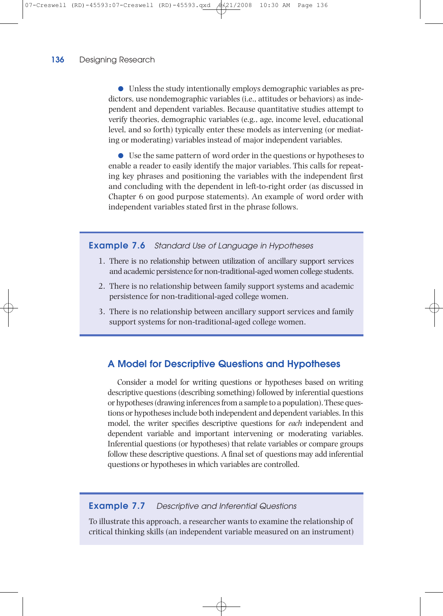● Unless the study intentionally employs demographic variables as predictors, use nondemographic variables (i.e., attitudes or behaviors) as independent and dependent variables. Because quantitative studies attempt to verify theories, demographic variables (e.g., age, income level, educational level, and so forth) typically enter these models as intervening (or mediating or moderating) variables instead of major independent variables.

● Use the same pattern of word order in the questions or hypotheses to enable a reader to easily identify the major variables. This calls for repeating key phrases and positioning the variables with the independent first and concluding with the dependent in left-to-right order (as discussed in Chapter 6 on good purpose statements). An example of word order with independent variables stated first in the phrase follows.

### **Example 7.6** Standard Use of Language in Hypotheses

- 1. There is no relationship between utilization of ancillary support services and academic persistence for non-traditional-aged women college students.
- 2. There is no relationship between family support systems and academic persistence for non-traditional-aged college women.
- 3. There is no relationship between ancillary support services and family support systems for non-traditional-aged college women.

### **A Model for Descriptive Questions and Hypotheses**

Consider a model for writing questions or hypotheses based on writing descriptive questions (describing something) followed by inferential questions or hypotheses (drawing inferences from a sample to a population). These questions or hypotheses include both independent and dependent variables. In this model, the writer specifies descriptive questions for *each* independent and dependent variable and important intervening or moderating variables. Inferential questions (or hypotheses) that relate variables or compare groups follow these descriptive questions. A final set of questions may add inferential questions or hypotheses in which variables are controlled.

#### **Example 7.7** Descriptive and Inferential Questions

To illustrate this approach, a researcher wants to examine the relationship of critical thinking skills (an independent variable measured on an instrument)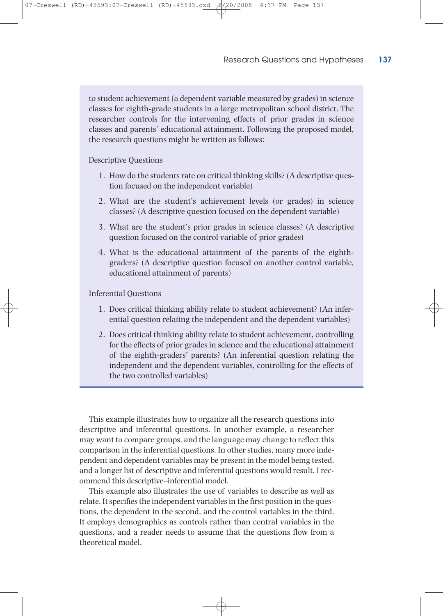to student achievement (a dependent variable measured by grades) in science classes for eighth-grade students in a large metropolitan school district. The researcher controls for the intervening effects of prior grades in science classes and parents' educational attainment. Following the proposed model, the research questions might be written as follows:

Descriptive Questions

- 1. How do the students rate on critical thinking skills? (A descriptive question focused on the independent variable)
- 2. What are the student's achievement levels (or grades) in science classes? (A descriptive question focused on the dependent variable)
- 3. What are the student's prior grades in science classes? (A descriptive question focused on the control variable of prior grades)
- 4. What is the educational attainment of the parents of the eighthgraders? (A descriptive question focused on another control variable, educational attainment of parents)

Inferential Questions

- 1. Does critical thinking ability relate to student achievement? (An inferential question relating the independent and the dependent variables)
- 2. Does critical thinking ability relate to student achievement, controlling for the effects of prior grades in science and the educational attainment of the eighth-graders' parents? (An inferential question relating the independent and the dependent variables, controlling for the effects of the two controlled variables)

This example illustrates how to organize all the research questions into descriptive and inferential questions. In another example, a researcher may want to compare groups, and the language may change to reflect this comparison in the inferential questions. In other studies, many more independent and dependent variables may be present in the model being tested, and a longer list of descriptive and inferential questions would result. I recommend this descriptive–inferential model.

This example also illustrates the use of variables to describe as well as relate. It specifies the independent variables in the first position in the questions, the dependent in the second, and the control variables in the third. It employs demographics as controls rather than central variables in the questions, and a reader needs to assume that the questions flow from a theoretical model.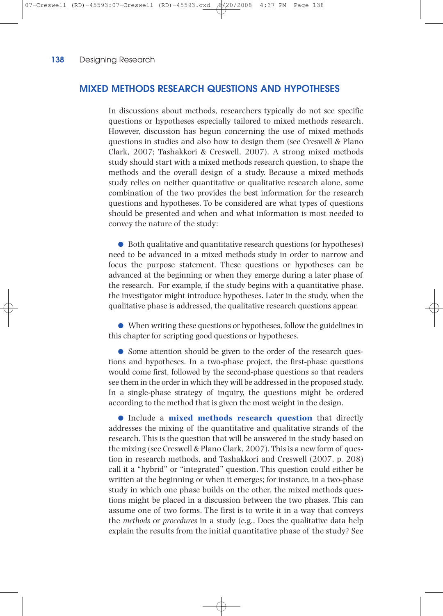### **MIXED METHODS RESEARCH QUESTIONS AND HYPOTHESES**

In discussions about methods, researchers typically do not see specific questions or hypotheses especially tailored to mixed methods research. However, discussion has begun concerning the use of mixed methods questions in studies and also how to design them (see Creswell & Plano Clark, 2007; Tashakkori & Creswell, 2007). A strong mixed methods study should start with a mixed methods research question, to shape the methods and the overall design of a study. Because a mixed methods study relies on neither quantitative or qualitative research alone, some combination of the two provides the best information for the research questions and hypotheses. To be considered are what types of questions should be presented and when and what information is most needed to convey the nature of the study:

● Both qualitative and quantitative research questions (or hypotheses) need to be advanced in a mixed methods study in order to narrow and focus the purpose statement. These questions or hypotheses can be advanced at the beginning or when they emerge during a later phase of the research. For example, if the study begins with a quantitative phase, the investigator might introduce hypotheses. Later in the study, when the qualitative phase is addressed, the qualitative research questions appear.

● When writing these questions or hypotheses, follow the guidelines in this chapter for scripting good questions or hypotheses.

• Some attention should be given to the order of the research questions and hypotheses. In a two-phase project, the first-phase questions would come first, followed by the second-phase questions so that readers see them in the order in which they will be addressed in the proposed study. In a single-phase strategy of inquiry, the questions might be ordered according to the method that is given the most weight in the design.

● Include a **mixed methods research question** that directly addresses the mixing of the quantitative and qualitative strands of the research. This is the question that will be answered in the study based on the mixing (see Creswell & Plano Clark, 2007). This is a new form of question in research methods, and Tashakkori and Creswell (2007, p. 208) call it a "hybrid" or "integrated" question. This question could either be written at the beginning or when it emerges; for instance, in a two-phase study in which one phase builds on the other, the mixed methods questions might be placed in a discussion between the two phases. This can assume one of two forms. The first is to write it in a way that conveys the *methods* or *procedures* in a study (e.g., Does the qualitative data help explain the results from the initial quantitative phase of the study? See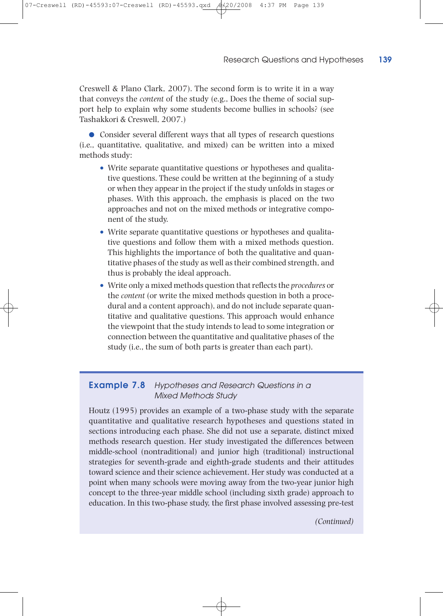Creswell & Plano Clark, 2007). The second form is to write it in a way that conveys the *content* of the study (e.g., Does the theme of social support help to explain why some students become bullies in schools? (see Tashakkori & Creswell, 2007.)

● Consider several different ways that all types of research questions (i.e., quantitative, qualitative, and mixed) can be written into a mixed methods study:

- Write separate quantitative questions or hypotheses and qualitative questions. These could be written at the beginning of a study or when they appear in the project if the study unfolds in stages or phases. With this approach, the emphasis is placed on the two approaches and not on the mixed methods or integrative component of the study.
- Write separate quantitative questions or hypotheses and qualitative questions and follow them with a mixed methods question. This highlights the importance of both the qualitative and quantitative phases of the study as well as their combined strength, and thus is probably the ideal approach.
- Write only a mixed methods question that reflects the *procedures* or the *content* (or write the mixed methods question in both a procedural and a content approach), and do not include separate quantitative and qualitative questions. This approach would enhance the viewpoint that the study intends to lead to some integration or connection between the quantitative and qualitative phases of the study (i.e., the sum of both parts is greater than each part).

### **Example 7.8** Hypotheses and Research Questions in a Mixed Methods Study

Houtz (1995) provides an example of a two-phase study with the separate quantitative and qualitative research hypotheses and questions stated in sections introducing each phase. She did not use a separate, distinct mixed methods research question. Her study investigated the differences between middle-school (nontraditional) and junior high (traditional) instructional strategies for seventh-grade and eighth-grade students and their attitudes toward science and their science achievement. Her study was conducted at a point when many schools were moving away from the two-year junior high concept to the three-year middle school (including sixth grade) approach to education. In this two-phase study, the first phase involved assessing pre-test

*(Continued)*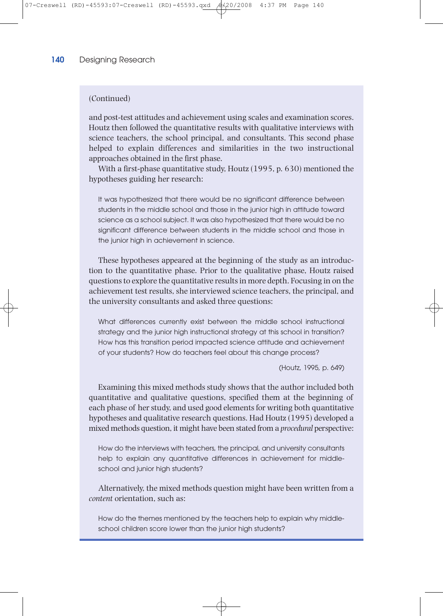#### (Continued)

and post-test attitudes and achievement using scales and examination scores. Houtz then followed the quantitative results with qualitative interviews with science teachers, the school principal, and consultants. This second phase helped to explain differences and similarities in the two instructional approaches obtained in the first phase.

With a first-phase quantitative study, Houtz (1995, p. 630) mentioned the hypotheses guiding her research:

It was hypothesized that there would be no significant difference between students in the middle school and those in the junior high in attitude toward science as a school subject. It was also hypothesized that there would be no significant difference between students in the middle school and those in the junior high in achievement in science.

These hypotheses appeared at the beginning of the study as an introduction to the quantitative phase. Prior to the qualitative phase, Houtz raised questions to explore the quantitative results in more depth. Focusing in on the achievement test results, she interviewed science teachers, the principal, and the university consultants and asked three questions:

What differences currently exist between the middle school instructional strategy and the junior high instructional strategy at this school in transition? How has this transition period impacted science attitude and achievement of your students? How do teachers feel about this change process?

(Houtz, 1995, p. 649)

Examining this mixed methods study shows that the author included both quantitative and qualitative questions, specified them at the beginning of each phase of her study, and used good elements for writing both quantitative hypotheses and qualitative research questions. Had Houtz (1995) developed a mixed methods question, it might have been stated from a *procedural* perspective:

How do the interviews with teachers, the principal, and university consultants help to explain any quantitative differences in achievement for middleschool and junior high students?

Alternatively, the mixed methods question might have been written from a *content* orientation, such as:

How do the themes mentioned by the teachers help to explain why middleschool children score lower than the junior high students?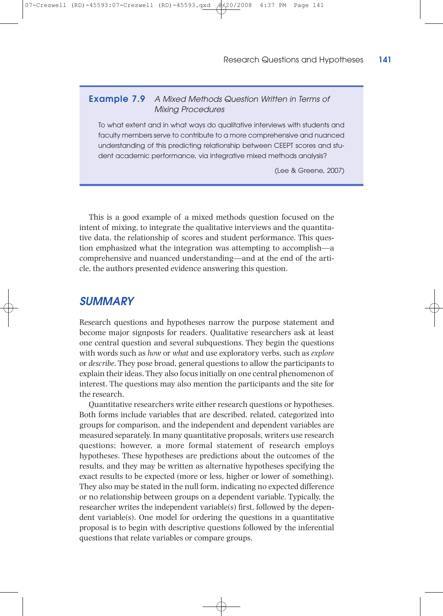### **Example 7.9** A Mixed Methods Question Written in Terms of Mixing Procedures

To what extent and in what ways do qualitative interviews with students and faculty members serve to contribute to a more comprehensive and nuanced understanding of this predicting relationship between CEEPT scores and student academic performance, via integrative mixed methods analysis?

(Lee & Greene, 2007)

This is a good example of a mixed methods question focused on the intent of mixing, to integrate the qualitative interviews and the quantitative data, the relationship of scores and student performance. This question emphasized what the integration was attempting to accomplish—a comprehensive and nuanced understanding—and at the end of the article, the authors presented evidence answering this question.

### **SUMMARY**

Research questions and hypotheses narrow the purpose statement and become major signposts for readers. Qualitative researchers ask at least one central question and several subquestions. They begin the questions with words such as *how* or *what* and use exploratory verbs, such as *explore* or *describe*. They pose broad, general questions to allow the participants to explain their ideas. They also focus initially on one central phenomenon of interest. The questions may also mention the participants and the site for the research.

Quantitative researchers write either research questions or hypotheses. Both forms include variables that are described, related, categorized into groups for comparison, and the independent and dependent variables are measured separately. In many quantitative proposals, writers use research questions; however, a more formal statement of research employs hypotheses. These hypotheses are predictions about the outcomes of the results, and they may be written as alternative hypotheses specifying the exact results to be expected (more or less, higher or lower of something). They also may be stated in the null form, indicating no expected difference or no relationship between groups on a dependent variable. Typically, the researcher writes the independent variable(s) first, followed by the dependent variable(s). One model for ordering the questions in a quantitative proposal is to begin with descriptive questions followed by the inferential questions that relate variables or compare groups.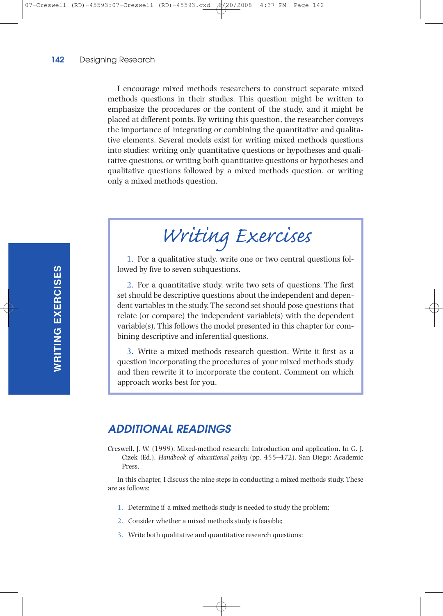I encourage mixed methods researchers to construct separate mixed methods questions in their studies. This question might be written to emphasize the procedures or the content of the study, and it might be placed at different points. By writing this question, the researcher conveys the importance of integrating or combining the quantitative and qualitative elements. Several models exist for writing mixed methods questions into studies: writing only quantitative questions or hypotheses and qualitative questions, or writing both quantitative questions or hypotheses and qualitative questions followed by a mixed methods question, or writing only a mixed methods question.

*Writing Exercises*

1. For a qualitative study, write one or two central questions followed by five to seven subquestions.

2. For a quantitative study, write two sets of questions. The first set should be descriptive questions about the independent and dependent variables in the study. The second set should pose questions that relate (or compare) the independent variable(s) with the dependent variable(s). This follows the model presented in this chapter for combining descriptive and inferential questions.

3. Write a mixed methods research question. Write it first as a question incorporating the procedures of your mixed methods study and then rewrite it to incorporate the content. Comment on which approach works best for you.

### **ADDITIONAL READINGS**

Creswell, J. W. (1999). Mixed-method research: Introduction and application. In G. J. Cizek (Ed.), *Handbook of educational policy* (pp. 455–472). San Diego: Academic Press.

In this chapter, I discuss the nine steps in conducting a mixed methods study. These are as follows:

- 1. Determine if a mixed methods study is needed to study the problem;
- 2. Consider whether a mixed methods study is feasible;
- 3. Write both qualitative and quantitative research questions;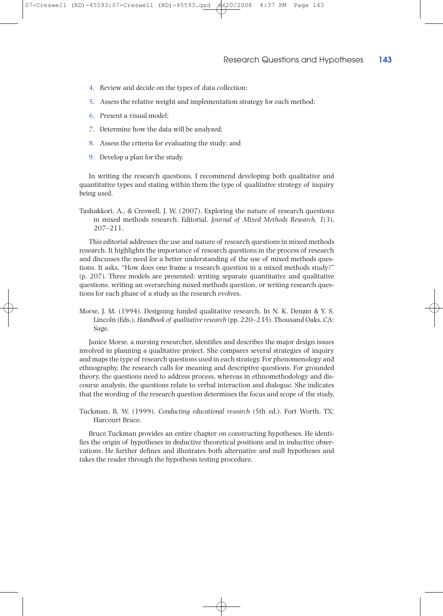- 4. Review and decide on the types of data collection;
- 5. Assess the relative weight and implementation strategy for each method;
- 6. Present a visual model;
- 7. Determine how the data will be analyzed;
- 8. Assess the criteria for evaluating the study; and
- 9. Develop a plan for the study.

In writing the research questions, I recommend developing both qualitative and quantitative types and stating within them the type of qualitative strategy of inquiry being used.

Tashakkori, A., & Creswell, J. W. (2007). Exploring the nature of research questions in mixed methods research. Editorial. *Journal of Mixed Methods Research, 1*(3), 207–211.

This editorial addresses the use and nature of research questions in mixed methods research. It highlights the importance of research questions in the process of research and discusses the need for a better understanding of the use of mixed methods questions. It asks, "How does one frame a research question in a mixed methods study?" (p. 207). Three models are presented: writing separate quantitative and qualitative questions, writing an overarching mixed methods question, or writing research questions for each phase of a study as the research evolves.

Morse, J. M. (1994). Designing funded qualitative research. In N. K. Denzin & Y. S. Lincoln (Eds.), *Handbook of qualitative research* (pp. 220–235). Thousand Oaks, CA: Sage.

Janice Morse, a nursing researcher, identifies and describes the major design issues involved in planning a qualitative project. She compares several strategies of inquiry and maps the type of research questions used in each strategy. For phenomenology and ethnography, the research calls for meaning and descriptive questions. For grounded theory, the questions need to address process, whereas in ethnomethodology and discourse analysis, the questions relate to verbal interaction and dialogue. She indicates that the wording of the research question determines the focus and scope of the study.

Tuckman, B. W. (1999). *Conducting educational research* (5th ed.). Fort Worth, TX: Harcourt Brace.

Bruce Tuckman provides an entire chapter on constructing hypotheses. He identifies the origin of hypotheses in deductive theoretical positions and in inductive observations. He further defines and illustrates both alternative and null hypotheses and takes the reader through the hypothesis testing procedure.